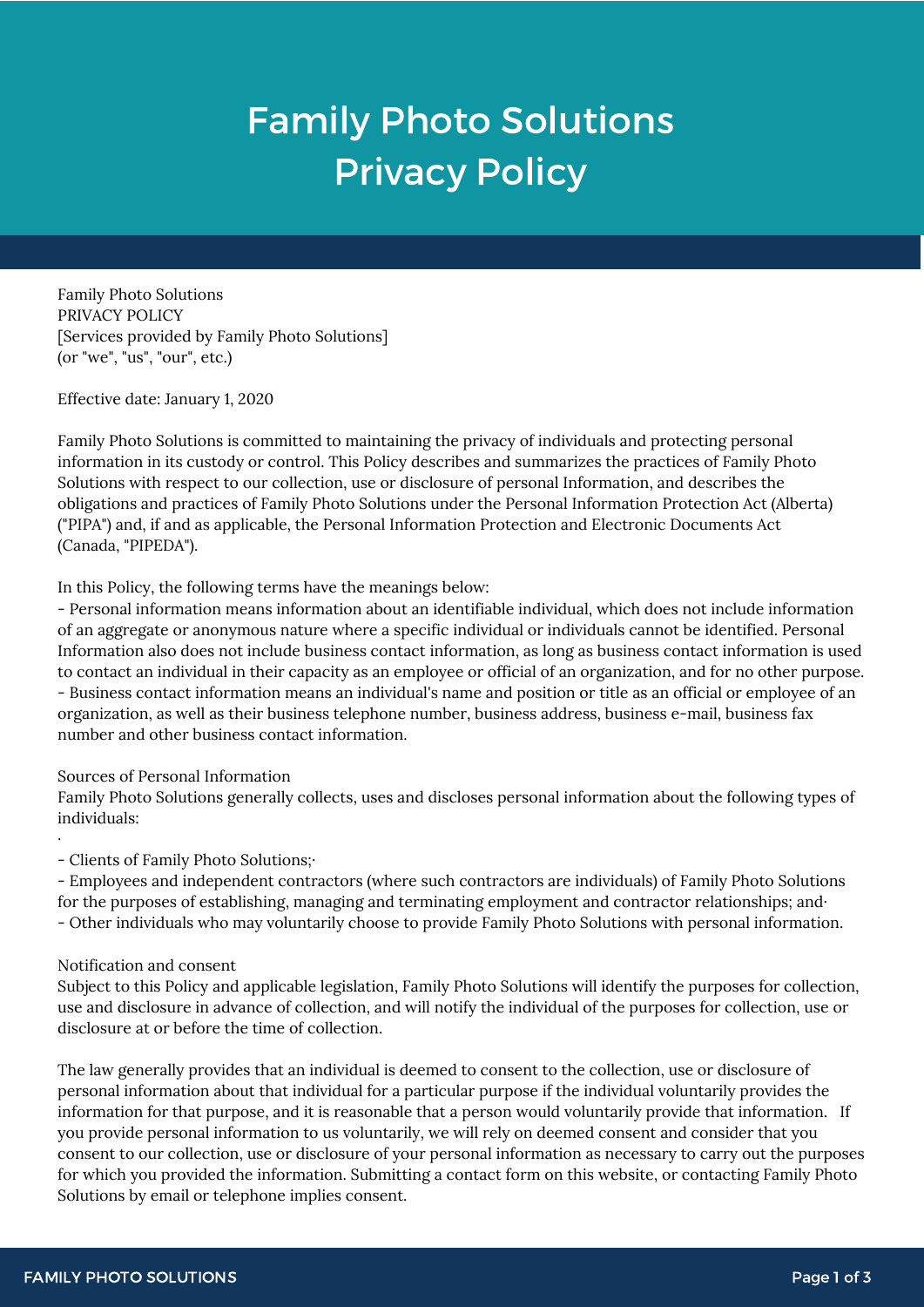# Family Photo Solutions Privacy Policy

Family Photo Solutions PRIVACY POLICY [Services provided by Family Photo Solutions] (or "we", "us", "our", etc.)

Effective date: January 1, 2020

Family Photo Solutions is committed to maintaining the privacy of individuals and protecting personal information in its custody or control. This Policy describes and summarizes the practices of Family Photo Solutions with respect to our collection, use or disclosure of personal Information, and describes the obligations and practices of Family Photo Solutions under the Personal Information Protection Act (Alberta) ("PIPA") and, if and as applicable, the Personal Information Protection and Electronic Documents Act (Canada, "PIPEDA").

In this Policy, the following terms have the meanings below:

- Personal information means information about an identifiable individual, which does not include information of an aggregate or anonymous nature where a specific individual or individuals cannot be identified. Personal Information also does not include business contact information, as long as business contact information is used to contact an individual in their capacity as an employee or official of an organization, and for no other purpose. - Business contact information means an individual's name and position or title as an official or employee of an organization, as well as their business telephone number, business address, business e-mail, business fax number and other business contact information.

Sources of Personal Information

Family Photo Solutions generally collects, uses and discloses personal information about the following types of individuals:

- Clients of Family Photo Solutions;·

- Employees and independent contractors (where such contractors are individuals) of Family Photo Solutions for the purposes of establishing, managing and terminating employment and contractor relationships; and· - Other individuals who may voluntarily choose to provide Family Photo Solutions with personal information.

## Notification and consent

·

Subject to this Policy and applicable legislation, Family Photo Solutions will identify the purposes for collection, use and disclosure in advance of collection, and will notify the individual of the purposes for collection, use or disclosure at or before the time of collection.

The law generally provides that an individual is deemed to consent to the collection, use or disclosure of personal information about that individual for a particular purpose if the individual voluntarily provides the information for that purpose, and it is reasonable that a person would voluntarily provide that information. If you provide personal information to us voluntarily, we will rely on deemed consent and consider that you consent to our collection, use or disclosure of your personal information as necessary to carry out the purposes for which you provided the information. Submitting a contact form on this website, or contacting Family Photo Solutions by email or telephone implies consent.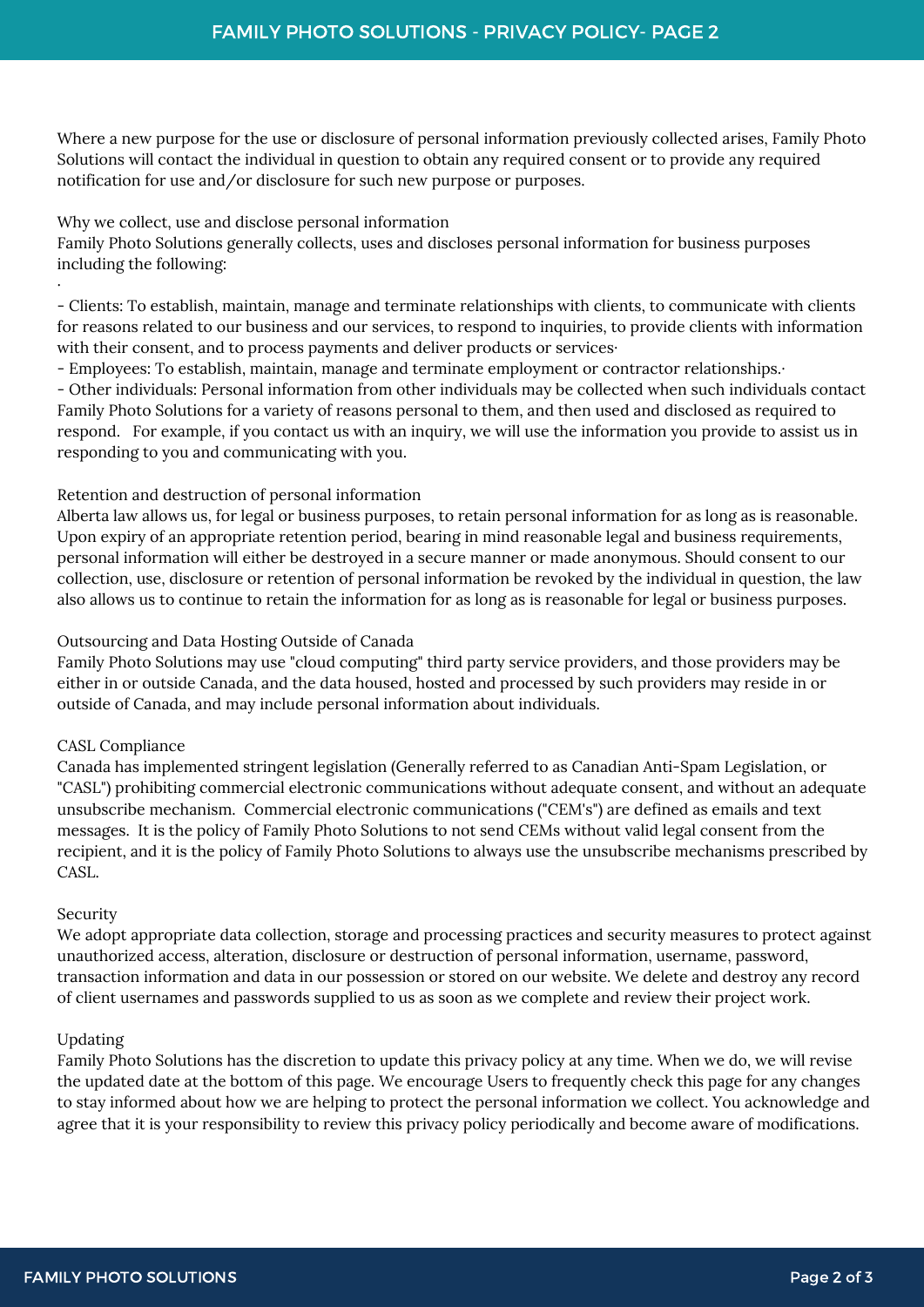Where a new purpose for the use or disclosure of personal information previously collected arises, Family Photo Solutions will contact the individual in question to obtain any required consent or to provide any required notification for use and/or disclosure for such new purpose or purposes.

## Why we collect, use and disclose personal information

Family Photo Solutions generally collects, uses and discloses personal information for business purposes including the following:

- Clients: To establish, maintain, manage and terminate relationships with clients, to communicate with clients for reasons related to our business and our services, to respond to inquiries, to provide clients with information with their consent, and to process payments and deliver products or services·

- Employees: To establish, maintain, manage and terminate employment or contractor relationships.·

- Other individuals: Personal information from other individuals may be collected when such individuals contact Family Photo Solutions for a variety of reasons personal to them, and then used and disclosed as required to respond. For example, if you contact us with an inquiry, we will use the information you provide to assist us in responding to you and communicating with you.

## Retention and destruction of personal information

Alberta law allows us, for legal or business purposes, to retain personal information for as long as is reasonable. Upon expiry of an appropriate retention period, bearing in mind reasonable legal and business requirements, personal information will either be destroyed in a secure manner or made anonymous. Should consent to our collection, use, disclosure or retention of personal information be revoked by the individual in question, the law also allows us to continue to retain the information for as long as is reasonable for legal or business purposes.

## Outsourcing and Data Hosting Outside of Canada

Family Photo Solutions may use "cloud computing" third party service providers, and those providers may be either in or outside Canada, and the data housed, hosted and processed by such providers may reside in or outside of Canada, and may include personal information about individuals.

## CASL Compliance

Canada has implemented stringent legislation (Generally referred to as Canadian Anti-Spam Legislation, or "CASL") prohibiting commercial electronic communications without adequate consent, and without an adequate unsubscribe mechanism. Commercial electronic communications ("CEM's") are defined as emails and text messages. It is the policy of Family Photo Solutions to not send CEMs without valid legal consent from the recipient, and it is the policy of Family Photo Solutions to always use the unsubscribe mechanisms prescribed by CASL.

## Security

·

We adopt appropriate data collection, storage and processing practices and security measures to protect against unauthorized access, alteration, disclosure or destruction of personal information, username, password, transaction information and data in our possession or stored on our website. We delete and destroy any record of client usernames and passwords supplied to us as soon as we complete and review their project work.

## Updating

Family Photo Solutions has the discretion to update this privacy policy at any time. When we do, we will revise the updated date at the bottom of this page. We encourage Users to frequently check this page for any changes to stay informed about how we are helping to protect the personal information we collect. You acknowledge and agree that it is your responsibility to review this privacy policy periodically and become aware of modifications.